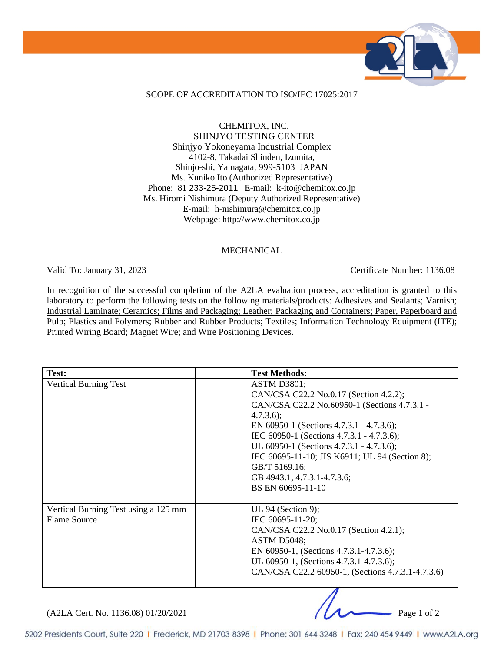

### SCOPE OF ACCREDITATION TO ISO/IEC 17025:2017

CHEMITOX, INC. SHINJYO TESTING CENTER Shinjyo Yokoneyama Industrial Complex 4102-8, Takadai Shinden, Izumita, Shinjo-shi, Yamagata, 999-5103 JAPAN Ms. Kuniko Ito (Authorized Representative) Phone: 81 233-25-2011 E-mail: k-ito@chemitox.co.jp Ms. Hiromi Nishimura (Deputy Authorized Representative) E-mail: h-nishimura@chemitox.co.jp Webpage: http://www.chemitox.co.jp

#### MECHANICAL

Valid To: January 31, 2023 Certificate Number: 1136.08

In recognition of the successful completion of the A2LA evaluation process, accreditation is granted to this laboratory to perform the following tests on the following materials/products: Adhesives and Sealants; Varnish; Industrial Laminate; Ceramics; Films and Packaging; Leather; Packaging and Containers; Paper, Paperboard and Pulp; Plastics and Polymers; Rubber and Rubber Products; Textiles; Information Technology Equipment (ITE); Printed Wiring Board; Magnet Wire; and Wire Positioning Devices.

| Test:                                | <b>Test Methods:</b>                              |
|--------------------------------------|---------------------------------------------------|
| <b>Vertical Burning Test</b>         | <b>ASTM D3801;</b>                                |
|                                      | CAN/CSA C22.2 No.0.17 (Section 4.2.2);            |
|                                      | CAN/CSA C22.2 No.60950-1 (Sections 4.7.3.1 -      |
|                                      | $4.7.3.6$ ;                                       |
|                                      | EN 60950-1 (Sections $4.7.3.1 - 4.7.3.6$ );       |
|                                      | IEC 60950-1 (Sections 4.7.3.1 - 4.7.3.6);         |
|                                      | UL 60950-1 (Sections 4.7.3.1 - 4.7.3.6);          |
|                                      | IEC 60695-11-10; JIS K6911; UL 94 (Section 8);    |
|                                      | GB/T 5169.16;                                     |
|                                      | GB 4943.1, 4.7.3.1-4.7.3.6;                       |
|                                      | BS EN 60695-11-10                                 |
|                                      |                                                   |
| Vertical Burning Test using a 125 mm | UL 94 (Section 9);                                |
| Flame Source                         | IEC 60695-11-20;                                  |
|                                      | CAN/CSA C22.2 No.0.17 (Section 4.2.1);            |
|                                      | <b>ASTM D5048;</b>                                |
|                                      | EN 60950-1, (Sections 4.7.3.1-4.7.3.6);           |
|                                      | UL 60950-1, (Sections 4.7.3.1-4.7.3.6);           |
|                                      | CAN/CSA C22.2 60950-1, (Sections 4.7.3.1-4.7.3.6) |
|                                      |                                                   |

(A2LA Cert. No. 1136.08) 01/20/2021 Page 1 of 2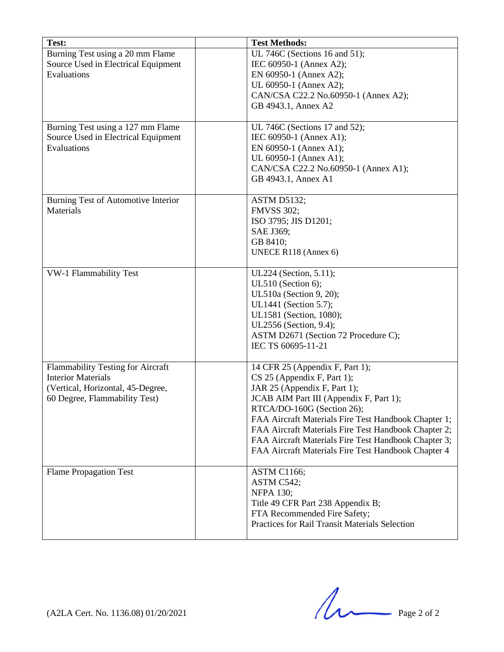| Test:                               | <b>Test Methods:</b>                                 |
|-------------------------------------|------------------------------------------------------|
| Burning Test using a 20 mm Flame    | UL 746C (Sections 16 and 51);                        |
| Source Used in Electrical Equipment | IEC 60950-1 (Annex A2);                              |
| Evaluations                         |                                                      |
|                                     | EN 60950-1 (Annex A2);                               |
|                                     | UL 60950-1 (Annex A2);                               |
|                                     | CAN/CSA C22.2 No.60950-1 (Annex A2);                 |
|                                     | GB 4943.1, Annex A2                                  |
| Burning Test using a 127 mm Flame   | UL 746C (Sections 17 and 52);                        |
| Source Used in Electrical Equipment | IEC 60950-1 (Annex A1);                              |
| Evaluations                         | EN 60950-1 (Annex A1);                               |
|                                     | UL 60950-1 (Annex A1);                               |
|                                     | CAN/CSA C22.2 No.60950-1 (Annex A1);                 |
|                                     | GB 4943.1, Annex A1                                  |
|                                     |                                                      |
| Burning Test of Automotive Interior | <b>ASTM D5132;</b>                                   |
| Materials                           | <b>FMVSS 302;</b>                                    |
|                                     | ISO 3795; JIS D1201;                                 |
|                                     | SAE J369;                                            |
|                                     | GB 8410;                                             |
|                                     | UNECE R118 (Annex 6)                                 |
|                                     |                                                      |
| <b>VW-1 Flammability Test</b>       | UL224 (Section, 5.11);                               |
|                                     | UL510 (Section 6);                                   |
|                                     | UL510a (Section 9, 20);                              |
|                                     | UL1441 (Section 5.7);                                |
|                                     | UL1581 (Section, 1080);                              |
|                                     | UL2556 (Section, 9.4);                               |
|                                     | ASTM D2671 (Section 72 Procedure C);                 |
|                                     | IEC TS 60695-11-21                                   |
|                                     |                                                      |
| Flammability Testing for Aircraft   | 14 CFR 25 (Appendix F, Part 1);                      |
| <b>Interior Materials</b>           | $CS$ 25 (Appendix F, Part 1);                        |
| (Vertical, Horizontal, 45-Degree,   | JAR 25 (Appendix F, Part 1);                         |
| 60 Degree, Flammability Test)       | JCAB AIM Part III (Appendix F, Part 1);              |
|                                     | RTCA/DO-160G (Section 26);                           |
|                                     | FAA Aircraft Materials Fire Test Handbook Chapter 1; |
|                                     | FAA Aircraft Materials Fire Test Handbook Chapter 2; |
|                                     | FAA Aircraft Materials Fire Test Handbook Chapter 3; |
|                                     | FAA Aircraft Materials Fire Test Handbook Chapter 4  |
|                                     |                                                      |
| <b>Flame Propagation Test</b>       | <b>ASTM C1166;</b>                                   |
|                                     | ASTM C542;                                           |
|                                     | <b>NFPA 130;</b>                                     |
|                                     | Title 49 CFR Part 238 Appendix B;                    |
|                                     | FTA Recommended Fire Safety;                         |
|                                     | Practices for Rail Transit Materials Selection       |
|                                     |                                                      |

 $(A2LA$  Cert. No. 1136.08) 01/20/2021 Page 2 of 2